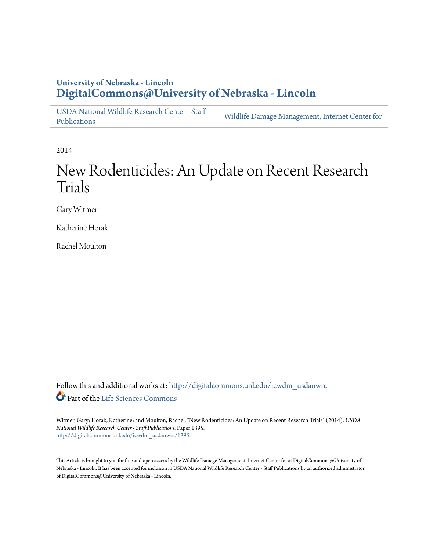# **University of Nebraska - Lincoln [DigitalCommons@University of Nebraska - Lincoln](http://digitalcommons.unl.edu?utm_source=digitalcommons.unl.edu%2Ficwdm_usdanwrc%2F1395&utm_medium=PDF&utm_campaign=PDFCoverPages)**

[USDA National Wildlife Research Center - Staff](http://digitalcommons.unl.edu/icwdm_usdanwrc?utm_source=digitalcommons.unl.edu%2Ficwdm_usdanwrc%2F1395&utm_medium=PDF&utm_campaign=PDFCoverPages) [Publications](http://digitalcommons.unl.edu/icwdm_usdanwrc?utm_source=digitalcommons.unl.edu%2Ficwdm_usdanwrc%2F1395&utm_medium=PDF&utm_campaign=PDFCoverPages) [Wildlife Damage Management, Internet Center for](http://digitalcommons.unl.edu/icwdm?utm_source=digitalcommons.unl.edu%2Ficwdm_usdanwrc%2F1395&utm_medium=PDF&utm_campaign=PDFCoverPages)

2014

# New Rodenticides: An Update on Recent Research Trials

Gary Witmer

Katherine Horak

Rachel Moulton

Follow this and additional works at: [http://digitalcommons.unl.edu/icwdm\\_usdanwrc](http://digitalcommons.unl.edu/icwdm_usdanwrc?utm_source=digitalcommons.unl.edu%2Ficwdm_usdanwrc%2F1395&utm_medium=PDF&utm_campaign=PDFCoverPages) Part of the [Life Sciences Commons](http://network.bepress.com/hgg/discipline/1016?utm_source=digitalcommons.unl.edu%2Ficwdm_usdanwrc%2F1395&utm_medium=PDF&utm_campaign=PDFCoverPages)

Witmer, Gary; Horak, Katherine; and Moulton, Rachel, "New Rodenticides: An Update on Recent Research Trials" (2014). *USDA National Wildlife Research Center - Staff Publications.* Paper 1395. [http://digitalcommons.unl.edu/icwdm\\_usdanwrc/1395](http://digitalcommons.unl.edu/icwdm_usdanwrc/1395?utm_source=digitalcommons.unl.edu%2Ficwdm_usdanwrc%2F1395&utm_medium=PDF&utm_campaign=PDFCoverPages)

This Article is brought to you for free and open access by the Wildlife Damage Management, Internet Center for at DigitalCommons@University of Nebraska - Lincoln. It has been accepted for inclusion in USDA National Wildlife Research Center - Staff Publications by an authorized administrator of DigitalCommons@University of Nebraska - Lincoln.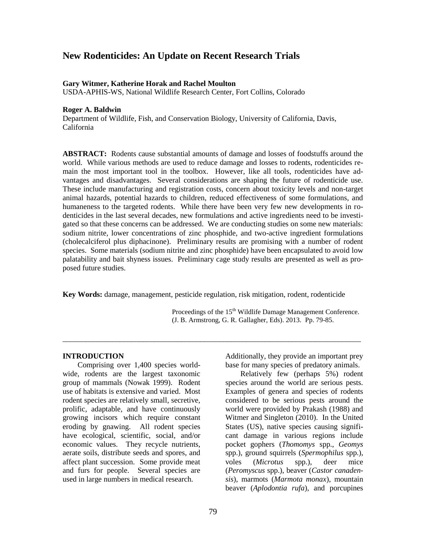# **New Rodenticides: An Update on Recent Research Trials**

#### **Gary Witmer, Katherine Horak and Rachel Moulton**

USDA-APHIS-WS, National Wildlife Research Center, Fort Collins, Colorado

#### **Roger A. Baldwin**

Department of Wildlife, Fish, and Conservation Biology, University of California, Davis, California

**ABSTRACT:** Rodents cause substantial amounts of damage and losses of foodstuffs around the world. While various methods are used to reduce damage and losses to rodents, rodenticides remain the most important tool in the toolbox. However, like all tools, rodenticides have advantages and disadvantages. Several considerations are shaping the future of rodenticide use. These include manufacturing and registration costs, concern about toxicity levels and non-target animal hazards, potential hazards to children, reduced effectiveness of some formulations, and humaneness to the targeted rodents. While there have been very few new developments in rodenticides in the last several decades, new formulations and active ingredients need to be investigated so that these concerns can be addressed. We are conducting studies on some new materials: sodium nitrite, lower concentrations of zinc phosphide, and two-active ingredient formulations (cholecalciferol plus diphacinone). Preliminary results are promising with a number of rodent species. Some materials (sodium nitrite and zinc phosphide) have been encapsulated to avoid low palatability and bait shyness issues. Preliminary cage study results are presented as well as proposed future studies.

**Key Words:** damage, management, pesticide regulation, risk mitigation, rodent, rodenticide

\_\_\_\_\_\_\_\_\_\_\_\_\_\_\_\_\_\_\_\_\_\_\_\_\_\_\_\_\_\_\_\_\_\_\_\_\_\_\_\_\_\_\_\_\_\_\_\_\_\_\_\_\_\_\_\_\_\_\_\_\_\_\_\_\_\_\_\_\_\_\_\_\_\_\_\_\_\_

Proceedings of the 15<sup>th</sup> Wildlife Damage Management Conference. (J. B. Armstrong, G. R. Gallagher, Eds). 2013. Pp. 79-85.

#### **INTRODUCTION**

Comprising over 1,400 species worldwide, rodents are the largest taxonomic group of mammals (Nowak 1999). Rodent use of habitats is extensive and varied. Most rodent species are relatively small, secretive, prolific, adaptable, and have continuously growing incisors which require constant eroding by gnawing. All rodent species have ecological, scientific, social, and/or economic values. They recycle nutrients, aerate soils, distribute seeds and spores, and affect plant succession. Some provide meat and furs for people. Several species are used in large numbers in medical research.

Additionally, they provide an important prey base for many species of predatory animals.

Relatively few (perhaps 5%) rodent species around the world are serious pests. Examples of genera and species of rodents considered to be serious pests around the world were provided by Prakash (1988) and Witmer and Singleton (2010). In the United States (US), native species causing significant damage in various regions include pocket gophers (*Thomomys* spp., *Geomys* spp.), ground squirrels (*Spermophilus* spp.), voles (*Microtus* spp.), deer mice (*Peromyscus* spp.), beaver (*Castor canadensis*), marmots (*Marmota monax*), mountain beaver (*Aplodontia rufa*), and porcupines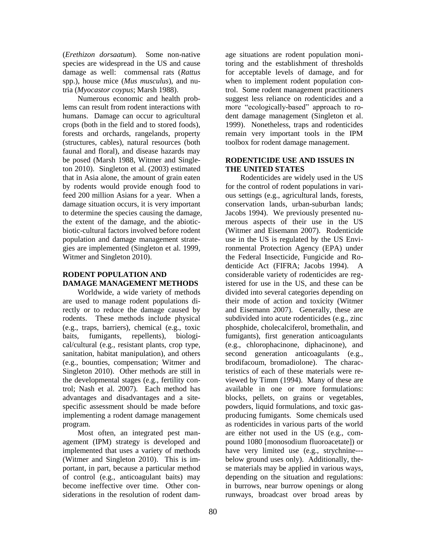(*Erethizon dorsaatum*). Some non-native species are widespread in the US and cause damage as well: commensal rats (*Rattus* spp.), house mice (*Mus musculus*), and nutria (*Myocastor coypus*; Marsh 1988).

Numerous economic and health problems can result from rodent interactions with humans. Damage can occur to agricultural crops (both in the field and to stored foods), forests and orchards, rangelands, property (structures, cables), natural resources (both faunal and floral), and disease hazards may be posed (Marsh 1988, Witmer and Singleton 2010). Singleton et al. (2003) estimated that in Asia alone, the amount of grain eaten by rodents would provide enough food to feed 200 million Asians for a year. When a damage situation occurs, it is very important to determine the species causing the damage, the extent of the damage, and the abioticbiotic-cultural factors involved before rodent population and damage management strategies are implemented (Singleton et al. 1999, Witmer and Singleton 2010).

## **RODENT POPULATION AND DAMAGE MANAGEMENT METHODS**

Worldwide, a wide variety of methods are used to manage rodent populations directly or to reduce the damage caused by rodents. These methods include physical (e.g., traps, barriers), chemical (e.g., toxic baits, fumigants, repellents), biological/cultural (e.g., resistant plants, crop type, sanitation, habitat manipulation), and others (e.g., bounties, compensation; Witmer and Singleton 2010). Other methods are still in the developmental stages (e.g., fertility control; Nash et al. 2007). Each method has advantages and disadvantages and a sitespecific assessment should be made before implementing a rodent damage management program.

Most often, an integrated pest management (IPM) strategy is developed and implemented that uses a variety of methods (Witmer and Singleton 2010). This is important, in part, because a particular method of control (e.g., anticoagulant baits) may become ineffective over time. Other considerations in the resolution of rodent damage situations are rodent population monitoring and the establishment of thresholds for acceptable levels of damage, and for when to implement rodent population control. Some rodent management practitioners suggest less reliance on rodenticides and a more "ecologically-based" approach to rodent damage management (Singleton et al. 1999). Nonetheless, traps and rodenticides remain very important tools in the IPM toolbox for rodent damage management.

### **RODENTICIDE USE AND ISSUES IN THE UNITED STATES**

Rodenticides are widely used in the US for the control of rodent populations in various settings (e.g., agricultural lands, forests, conservation lands, urban-suburban lands; Jacobs 1994). We previously presented numerous aspects of their use in the US (Witmer and Eisemann 2007). Rodenticide use in the US is regulated by the US Environmental Protection Agency (EPA) under the Federal Insecticide, Fungicide and Rodenticide Act (FIFRA; Jacobs 1994). considerable variety of rodenticides are registered for use in the US, and these can be divided into several categories depending on their mode of action and toxicity (Witmer and Eisemann 2007). Generally, these are subdivided into acute rodenticides (e.g., zinc phosphide, cholecalciferol, bromethalin, and fumigants), first generation anticoagulants (e.g., chlorophacinone, diphacinone), and second generation anticoagulants (e.g., brodifacoum, bromadiolone). The characteristics of each of these materials were reviewed by Timm (1994). Many of these are available in one or more formulations: blocks, pellets, on grains or vegetables, powders, liquid formulations, and toxic gasproducing fumigants. Some chemicals used as rodenticides in various parts of the world are either not used in the US (e.g., compound 1080 [monosodium fluoroacetate]) or have very limited use (e.g., strychnine-- below ground uses only). Additionally, these materials may be applied in various ways, depending on the situation and regulations: in burrows, near burrow openings or along runways, broadcast over broad areas by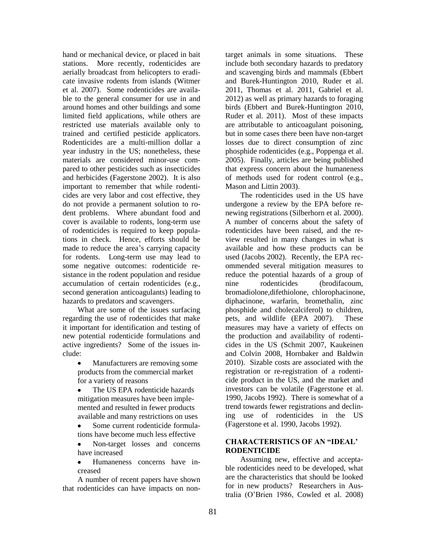hand or mechanical device, or placed in bait stations. More recently, rodenticides are aerially broadcast from helicopters to eradicate invasive rodents from islands (Witmer et al. 2007). Some rodenticides are available to the general consumer for use in and around homes and other buildings and some limited field applications, while others are restricted use materials available only to trained and certified pesticide applicators. Rodenticides are a multi-million dollar a year industry in the US; nonetheless, these materials are considered minor-use compared to other pesticides such as insecticides and herbicides (Fagerstone 2002). It is also important to remember that while rodenticides are very labor and cost effective, they do not provide a permanent solution to rodent problems. Where abundant food and cover is available to rodents, long-term use of rodenticides is required to keep populations in check. Hence, efforts should be made to reduce the area's carrying capacity for rodents. Long-term use may lead to some negative outcomes: rodenticide resistance in the rodent population and residue accumulation of certain rodenticides (e.g., second generation anticoagulants) leading to hazards to predators and scavengers.

What are some of the issues surfacing regarding the use of rodenticides that make it important for identification and testing of new potential rodenticide formulations and active ingredients? Some of the issues include:

Manufacturers are removing some products from the commercial market for a variety of reasons

The US EPA rodenticide hazards mitigation measures have been implemented and resulted in fewer products available and many restrictions on uses

- Some current rodenticide formulations have become much less effective
- Non-target losses and concerns have increased

Humaneness concerns have in- $\bullet$ creased

A number of recent papers have shown that rodenticides can have impacts on nontarget animals in some situations. These include both secondary hazards to predatory and scavenging birds and mammals (Ebbert and Burek-Huntington 2010, Ruder et al. 2011, Thomas et al. 2011, Gabriel et al. 2012) as well as primary hazards to foraging birds (Ebbert and Burek-Huntington 2010, Ruder et al. 2011). Most of these impacts are attributable to anticoagulant poisoning, but in some cases there been have non-target losses due to direct consumption of zinc phosphide rodenticides (e.g., Poppenga et al. 2005). Finally, articles are being published that express concern about the humaneness of methods used for rodent control (e.g., Mason and Littin 2003).

The rodenticides used in the US have undergone a review by the EPA before renewing registrations (Silberhorn et al. 2000). A number of concerns about the safety of rodenticides have been raised, and the review resulted in many changes in what is available and how these products can be used (Jacobs 2002). Recently, the EPA recommended several mitigation measures to reduce the potential hazards of a group of nine rodenticides (brodifacoum, bromadiolone, difethiolone, chlorophacinone, diphacinone, warfarin, bromethalin, zinc phosphide and cholecalciferol) to children, pets, and wildlife (EPA 2007). These measures may have a variety of effects on the production and availability of rodenticides in the US (Schmit 2007, Kaukeinen and Colvin 2008, Hornbaker and Baldwin 2010). Sizable costs are associated with the registration or re-registration of a rodenticide product in the US, and the market and investors can be volatile (Fagerstone et al. 1990, Jacobs 1992). There is somewhat of a trend towards fewer registrations and declining use of rodenticides in the US (Fagerstone et al. 1990, Jacobs 1992).

#### **CHARACTERISTICS OF AN "IDEAL' RODENTICIDE**

Assuming new, effective and acceptable rodenticides need to be developed, what are the characteristics that should be looked for in new products? Researchers in Australia (O'Brien 1986, Cowled et al. 2008)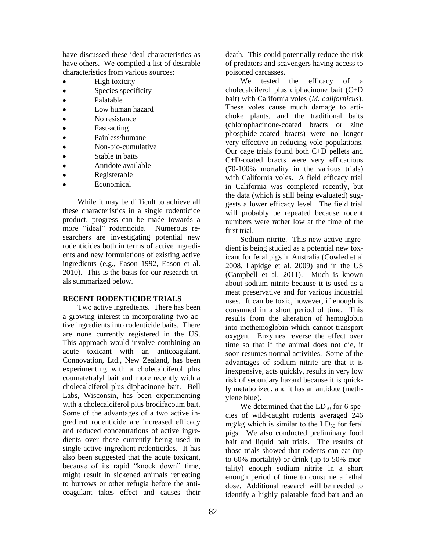have discussed these ideal characteristics as have others. We compiled a list of desirable characteristics from various sources:

- High toxicity
- Species specificity  $\bullet$
- Palatable  $\bullet$
- Low human hazard
- No resistance  $\bullet$
- Fast-acting  $\bullet$
- Painless/humane
- Non-bio-cumulative
- $\bullet$ Stable in baits
- $\bullet$ Antidote available
- Registerable
- Economical

While it may be difficult to achieve all these characteristics in a single rodenticide product, progress can be made towards a more "ideal" rodenticide. Numerous researchers are investigating potential new rodenticides both in terms of active ingredients and new formulations of existing active ingredients (e.g., Eason 1992, Eason et al. 2010). This is the basis for our research trials summarized below.

#### **RECENT RODENTICIDE TRIALS**

Two active ingredients. There has been a growing interest in incorporating two active ingredients into rodenticide baits. There are none currently registered in the US. This approach would involve combining an acute toxicant with an anticoagulant. Connovation, Ltd., New Zealand, has been experimenting with a cholecalciferol plus coumatetralyl bait and more recently with a cholecalciferol plus diphacinone bait. Bell Labs, Wisconsin, has been experimenting with a cholecalciferol plus brodifacoum bait. Some of the advantages of a two active ingredient rodenticide are increased efficacy and reduced concentrations of active ingredients over those currently being used in single active ingredient rodenticides. It has also been suggested that the acute toxicant, because of its rapid "knock down" time, might result in sickened animals retreating to burrows or other refugia before the anticoagulant takes effect and causes their

death. This could potentially reduce the risk of predators and scavengers having access to poisoned carcasses.

We tested the efficacy of a cholecalciferol plus diphacinone bait (C+D bait) with California voles (*M. californicus*). These voles cause much damage to artichoke plants, and the traditional baits (chlorophacinone-coated bracts or zinc phosphide-coated bracts) were no longer very effective in reducing vole populations. Our cage trials found both C+D pellets and C+D-coated bracts were very efficacious (70-100% mortality in the various trials) with California voles. A field efficacy trial in California was completed recently, but the data (which is still being evaluated) suggests a lower efficacy level. The field trial will probably be repeated because rodent numbers were rather low at the time of the first trial.

Sodium nitrite. This new active ingredient is being studied as a potential new toxicant for feral pigs in Australia (Cowled et al. 2008, Lapidge et al. 2009) and in the US (Campbell et al. 2011). Much is known about sodium nitrite because it is used as a meat preservative and for various industrial uses. It can be toxic, however, if enough is consumed in a short period of time. This results from the alteration of hemoglobin into methemoglobin which cannot transport oxygen. Enzymes reverse the effect over time so that if the animal does not die, it soon resumes normal activities. Some of the advantages of sodium nitrite are that it is inexpensive, acts quickly, results in very low risk of secondary hazard because it is quickly metabolized, and it has an antidote (methylene blue).

We determined that the  $LD_{50}$  for 6 species of wild-caught rodents averaged 246 mg/kg which is similar to the  $LD_{50}$  for feral pigs. We also conducted preliminary food bait and liquid bait trials. The results of those trials showed that rodents can eat (up to 60% mortality) or drink (up to 50% mortality) enough sodium nitrite in a short enough period of time to consume a lethal dose. Additional research will be needed to identify a highly palatable food bait and an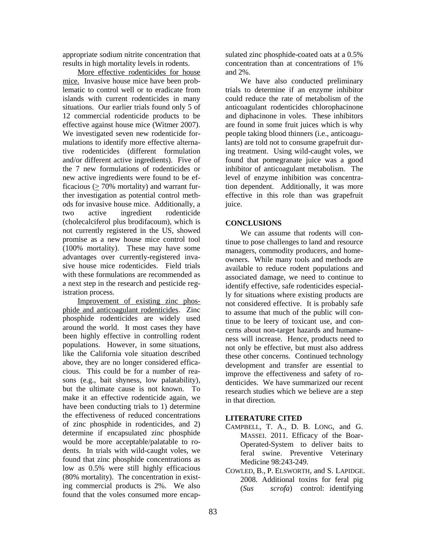appropriate sodium nitrite concentration that results in high mortality levels in rodents.

More effective rodenticides for house mice. Invasive house mice have been problematic to control well or to eradicate from islands with current rodenticides in many situations. Our earlier trials found only 5 of 12 commercial rodenticide products to be effective against house mice (Witmer 2007). We investigated seven new rodenticide formulations to identify more effective alternative rodenticides (different formulation and/or different active ingredients). Five of the 7 new formulations of rodenticides or new active ingredients were found to be efficacious ( $\geq$  70% mortality) and warrant further investigation as potential control methods for invasive house mice. Additionally, a two active ingredient rodenticide (cholecalciferol plus brodifacoum), which is not currently registered in the US, showed promise as a new house mice control tool (100% mortality). These may have some advantages over currently-registered invasive house mice rodenticides. Field trials with these formulations are recommended as a next step in the research and pesticide registration process.

Improvement of existing zinc phosphide and anticoagulant rodenticides. Zinc phosphide rodenticides are widely used around the world. It most cases they have been highly effective in controlling rodent populations. However, in some situations, like the California vole situation described above, they are no longer considered efficacious. This could be for a number of reasons (e.g., bait shyness, low palatability), but the ultimate cause is not known. To make it an effective rodenticide again, we have been conducting trials to 1) determine the effectiveness of reduced concentrations of zinc phosphide in rodenticides, and 2) determine if encapsulated zinc phosphide would be more acceptable/palatable to rodents. In trials with wild-caught voles, we found that zinc phosphide concentrations as low as 0.5% were still highly efficacious (80% mortality). The concentration in existing commercial products is 2%. We also found that the voles consumed more encapsulated zinc phosphide-coated oats at a 0.5% concentration than at concentrations of 1% and 2%.

We have also conducted preliminary trials to determine if an enzyme inhibitor could reduce the rate of metabolism of the anticoagulant rodenticides chlorophacinone and diphacinone in voles. These inhibitors are found in some fruit juices which is why people taking blood thinners (i.e., anticoagulants) are told not to consume grapefruit during treatment. Using wild-caught voles, we found that pomegranate juice was a good inhibitor of anticoagulant metabolism. The level of enzyme inhibition was concentration dependent. Additionally, it was more effective in this role than was grapefruit juice.

#### **CONCLUSIONS**

We can assume that rodents will continue to pose challenges to land and resource managers, commodity producers, and homeowners. While many tools and methods are available to reduce rodent populations and associated damage, we need to continue to identify effective, safe rodenticides especially for situations where existing products are not considered effective. It is probably safe to assume that much of the public will continue to be leery of toxicant use, and concerns about non-target hazards and humaneness will increase. Hence, products need to not only be effective, but must also address these other concerns. Continued technology development and transfer are essential to improve the effectiveness and safety of rodenticides. We have summarized our recent research studies which we believe are a step in that direction.

#### **LITERATURE CITED**

- CAMPBELL, T. A., D. B. LONG, and G. MASSEI. 2011. Efficacy of the Boar-Operated-System to deliver baits to feral swine. Preventive Veterinary Medicine 98:243-249.
- COWLED, B., P. ELSWORTH, and S. LAPIDGE. 2008. Additional toxins for feral pig (*Sus scrofa*) control: identifying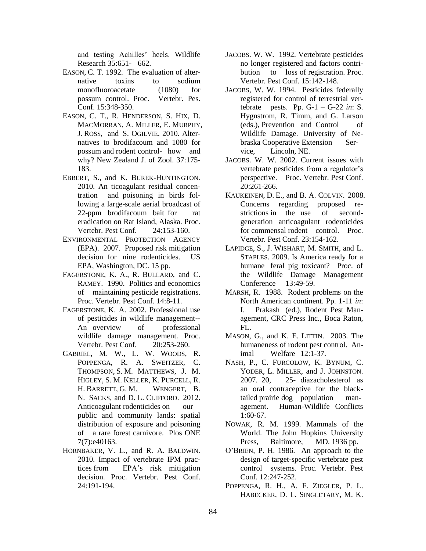and testing Achilles' heels. Wildlife Research 35:651- 662.

- EASON, C. T. 1992. The evaluation of alternative toxins to sodium monofluoroacetate (1080) for possum control. Proc. Vertebr. Pes. Conf. 15:348-350.
- EASON, C. T., R. HENDERSON, S. HIX, D. MACMORRAN, A. MILLER, E. MURPHY, J. ROSS, and S. OGILVIE. 2010. Alternatives to brodifacoum and 1080 for possum and rodent control- how and why? New Zealand J. of Zool. 37:175- 183.
- EBBERT, S., and K. BUREK-HUNTINGTON. 2010. An ticoagulant residual concentration and poisoning in birds following a large-scale aerial broadcast of 22-ppm brodifacoum bait for rat eradication on Rat Island, Alaska. Proc. Vertebr. Pest Conf. 24:153-160.
- ENVIRONMENTAL PROTECTION AGENCY (EPA). 2007. Proposed risk mitigation decision for nine rodenticides. US EPA, Washington, DC. 15 pp.
- FAGERSTONE, K. A., R. BULLARD, and C. RAMEY. 1990. Politics and economics of maintaining pesticide registrations. Proc. Vertebr. Pest Conf. 14:8-11.
- FAGERSTONE, K. A. 2002. Professional use of pesticides in wildlife management-- An overview of professional wildlife damage management. Proc. Vertebr. Pest Conf. 20:253-260.
- GABRIEL, M. W., L. W. WOODS, R. POPPENGA, R. A. SWEITZER, C. THOMPSON, S. M. MATTHEWS, J. M. HIGLEY, S. M. KELLER, K. PURCELL, R. H. BARRETT, G. M. WENGERT, B. N. SACKS, and D. L. CLIFFORD. 2012. Anticoagulant rodenticides on our public and community lands: spatial distribution of exposure and poisoning of a rare forest carnivore. Plos ONE 7(7):e40163.
- HORNBAKER, V. L., and R. A. BALDWIN. 2010. Impact of vertebrate IPM practices from EPA's risk mitigation decision. Proc. Vertebr. Pest Conf. 24:191-194.
- JACOBS. W. W. 1992. Vertebrate pesticides no longer registered and factors contribution to loss of registration. Proc. Vertebr. Pest Conf. 15:142-148.
- JACOBS, W. W. 1994. Pesticides federally registered for control of terrestrial vertebrate pests. Pp. G-1 – G-22 *in*: S. Hygnstrom, R. Timm, and G. Larson (eds.), Prevention and Control of Wildlife Damage. University of Nebraska Cooperative Extension Service, Lincoln, NE.
- JACOBS. W. W. 2002. Current issues with vertebrate pesticides from a regulator's perspective. Proc. Vertebr. Pest Conf. 20:261-266.
- KAUKEINEN, D. E., and B. A. COLVIN. 2008. Concerns regarding proposed restrictions in the use of secondgeneration anticoagulant rodenticides for commensal rodent control. Proc. Vertebr. Pest Conf. 23:154-162.
- LAPIDGE, S., J. WISHART, M. SMITH, and L. STAPLES. 2009. Is America ready for a humane feral pig toxicant? Proc. of the Wildlife Damage Management Conference 13:49-59.
- MARSH, R. 1988. Rodent problems on the North American continent. Pp. 1-11 *in*: I. Prakash (ed.), Rodent Pest Management, CRC Press Inc., Boca Raton,  $FI.$
- MASON, G., and K. E. LITTIN. 2003. The humaneness of rodent pest control. Animal Welfare 12:1-37.
- NASH, P., C. FURCOLOW, K. BYNUM, C. YODER, L. MILLER, and J. JOHNSTON. 2007. 20, 25- diazacholesterol as an oral contraceptive for the blacktailed prairie dog population management. Human-Wildlife Conflicts 1:60-67.
- NOWAK, R. M. 1999. Mammals of the World. The John Hopkins University Press, Baltimore, MD. 1936 pp.
- O'BRIEN, P. H. 1986. An approach to the design of target-specific vertebrate pest control systems. Proc. Vertebr. Pest Conf. 12:247-252.
- POPPENGA, R. H., A. F. ZIEGLER, P. L. HABECKER, D. L. SINGLETARY, M. K.